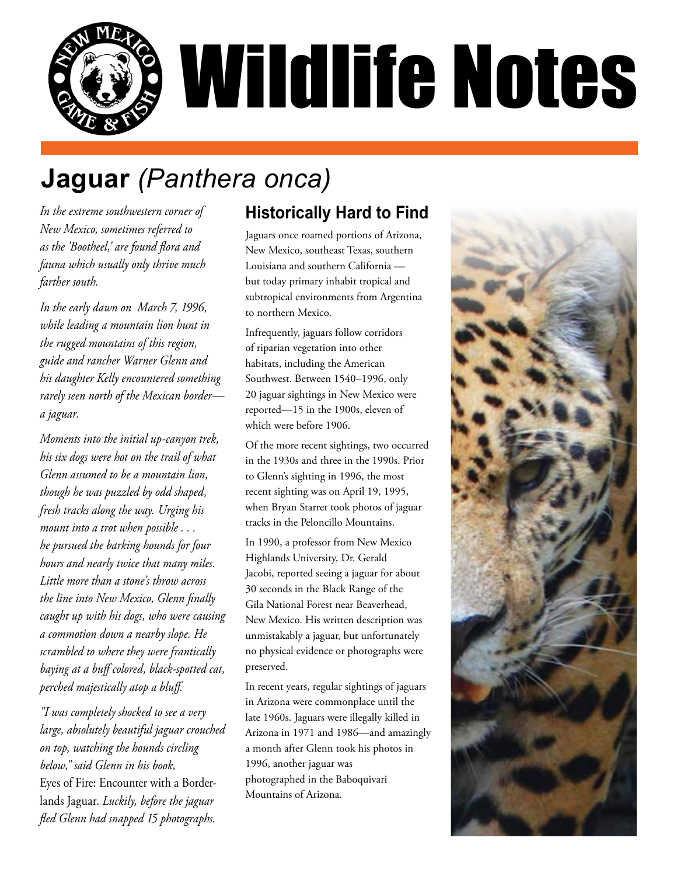

## **Jaguar** *(Panthera onca)*

*In the extreme southwestern corner of New Mexico, sometimes referred to as the 'Bootheel,' are found flora and fauna which usually only thrive much farther south.* 

*In the early dawn on March 7, 1996, while leading a mountain lion hunt in the rugged mountains of this region, guide and rancher Warner Glenn and his daughter Kelly encountered something rarely seen north of the Mexican border a jaguar.* 

*Moments into the initial up-canyon trek, his six dogs were hot on the trail of what Glenn assumed to be a mountain lion, though he was puzzled by odd shaped, fresh tracks along the way. Urging his mount into a trot when possible . . . he pursued the barking hounds for four hours and nearly twice that many miles. Little more than a stone's throw across the line into New Mexico, Glenn finally caught up with his dogs, who were causing a commotion down a nearby slope. He scrambled to where they were frantically baying at a buff colored, black-spotted cat, perched majestically atop a bluff.* 

*"I was completely shocked to see a very large, absolutely beautiful jaguar crouched on top, watching the hounds circling below," said Glenn in his book,*  Eyes of Fire: Encounter with a Borderlands Jaguar. *Luckily, before the jaguar fled Glenn had snapped 15 photographs.*

## **Historically Hard to Find**

Jaguars once roamed portions of Arizona, New Mexico, southeast Texas, southern Louisiana and southern California but today primary inhabit tropical and subtropical environments from Argentina to northern Mexico.

Infrequently, jaguars follow corridors of riparian vegetation into other habitats, including the American Southwest. Between 1540–1996, only 20 jaguar sightings in New Mexico were reported—15 in the 1900s, eleven of which were before 1906.

Of the more recent sightings, two occurred in the 1930s and three in the 1990s. Prior to Glenn's sighting in 1996, the most recent sighting was on April 19, 1995, when Bryan Starret took photos of jaguar tracks in the Peloncillo Mountains.

In 1990, a professor from New Mexico Highlands University, Dr. Gerald Jacobi, reported seeing a jaguar for about 30 seconds in the Black Range of the Gila National Forest near Beaverhead, New Mexico. His written description was unmistakably a jaguar, but unfortunately no physical evidence or photographs were preserved.

In recent years, regular sightings of jaguars in Arizona were commonplace until the late 1960s. Jaguars were illegally killed in Arizona in 1971 and 1986—and amazingly a month after Glenn took his photos in 1996, another jaguar was photographed in the Baboquivari Mountains of Arizona.